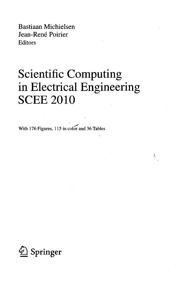Bastiaan Michielsen Jean-René Poirier Editors

## Scientific Computing in Electrical Engineering SCEE 2010

 $\stackrel{1}{\rightarrow}$ 

With 176 Figures, 115 in color and 36 Tables

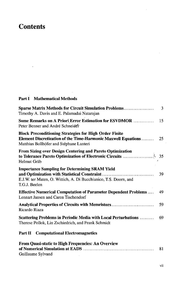## **Contents**

 $\hat{\mathbf{v}}$ 

## **Part I Mathematical Methods**

 $\sim 10^7$ 

| <b>Sparse Matrix Methods for Circuit Simulation Problems</b><br>Timothy A. Davis and E. Palamadai Natarajan                                                               | 3  |
|---------------------------------------------------------------------------------------------------------------------------------------------------------------------------|----|
| Some Remarks on A Priori Error Estimation for ESVDMOR<br>Peter Benner and André Schneider                                                                                 | 15 |
| <b>Block Preconditioning Strategies for High Order Finite</b><br>Element Discretization of the Time-Harmonic Maxwell Equations<br>Matthias Bollhöfer and Stéphane Lanteri | 25 |
| From Sizing over Design Centering and Pareto Optimization<br>Helmut Gräb                                                                                                  |    |
| <b>Importance Sampling for Determining SRAM Yield</b><br>E.J.W. ter Maten, O. Wittich, A. Di Bucchianico, T.S. Doorn, and<br>T.G.J. Beelen                                | 39 |
| <b>Effective Numerical Computation of Parameter Dependent Problems</b><br>Lennart Jansen and Caren Tischendorf                                                            | 49 |
| Analytical Properties of Circuits with Memristors<br>Ricardo Riaza                                                                                                        | 59 |
| <b>Scattering Problems in Periodic Media with Local Perturbations </b><br>Therese Pollok, Lin Zschiedrich, and Frank Schmidt                                              | 69 |
| <b>Part II</b> Computational Electromagnetics                                                                                                                             |    |
| From Quasi-static to High Frequencies: An Overview                                                                                                                        | 81 |

**of Numerical Simulation at EADS** 81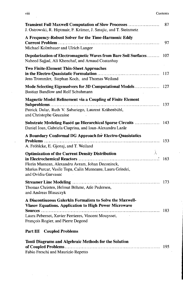| <b>Transient Full Maxwell Computation of Slow Processes </b><br>J. Ostrowski, R. Hiptmair, F. Krämer, J. Smajic, and T. Steinmetz                                                                                     | 87  |
|-----------------------------------------------------------------------------------------------------------------------------------------------------------------------------------------------------------------------|-----|
| A Frequency-Robust Solver for the Time-Harmonic Eddy<br>Michael Kolmbauer and Ulrich Langer                                                                                                                           | 97  |
| Depolarization of Electromagnetic Waves from Bare Soil Surfaces<br>Naheed Sajjad, Ali Khenchaf, and Arnaud Coatanhay                                                                                                  | 107 |
| <b>Two Finite-Element Thin-Sheet Approaches</b><br>Jens Trommler, Stephan Koch, and Thomas Weiland                                                                                                                    | 117 |
| Bastian Bandlow and Rolf Schuhmann                                                                                                                                                                                    |     |
| <b>Magnetic Model Refinement via a Coupling of Finite Element</b><br>Patrick Dular, Ruth V. Sabariego, Laurent Krähenbühl,<br>and Christophe Geuzaine                                                                 | 137 |
| Substrate Modeling Based on Hierarchical Sparse Circuits  143<br>Daniel Ioan, Gabriela Ciuprina, and Ioan-Alexandru Lazăr                                                                                             |     |
| A Boundary Conformal DG Approach for Electro-Quasistatics<br>A. Fröhlcke, E. Gjonaj, and T. Weiland                                                                                                                   | 153 |
| <b>Optimization of the Current Density Distribution</b><br>Florin Muntean, Alexandru Avram, Johan Deconinck,<br>Marius Purcar, Vasile Topa, Calin Munteanu, Laura Grindei,<br>and Ovidiu Garvasuc                     | 163 |
| Thomas Christen, Helmut Böhme, Atle Pedersen,<br>and Andreas Blaszczyk                                                                                                                                                |     |
| A Discontinuous Galerkin Formalism to Solve the Maxwell-<br><b>Vlasov Equations. Application to High Power Microwave</b><br>Laura Pebernet, Xavier Ferrieres, Vincent Mouysset,<br>François Rogier, and Pierre Degond |     |
| <b>Coupled Problems</b><br>Part III                                                                                                                                                                                   |     |
| Tonti Diagrams and Algebraic Methods for the Solution                                                                                                                                                                 | 195 |

Fabio Freschi and Maurizio Repetto

 $\bar{\gamma}$ 

 $\ddot{\phantom{a}}$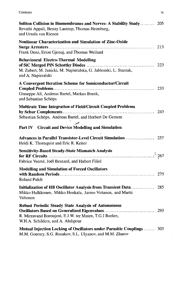| Soliton Collision in Biomembranes and Nerves-A Stability Study 205<br>Revathi Appali, Benny Lautrup, Thomas Heimburg,<br>and Ursula van Rienen             |     |
|------------------------------------------------------------------------------------------------------------------------------------------------------------|-----|
| Nonlinear Characterization and Simulation of Zinc-Oxide<br>Frank Denz, Erion Gjonaj, and Thomas Weiland                                                    | 213 |
| <b>Behavioural Electro-Thermal Modelling</b><br>M. Zubert, M. Janicki, M. Napieralska, G. Jablonski, L. Starzak,<br>and A. Napieralski                     |     |
| A Convergent Iteration Scheme for Semiconductor/Circuit<br>Giuseppe Alì, Andreas Bartel, Markus Brunk,<br>and Sebastian Schöps                             |     |
| Multirate Time Integration of Field/Circuit Coupled Problems<br>Sebastian Schöps, Andreas Bartel, and Herbert De Gersem                                    |     |
| Part IV Circuit and Device Modelling and Simulation<br>Heidi K. Thornquist and Eric R. Keiter                                                              |     |
| <b>Sensitivity-Based Steady-State Mismatch Analysis</b><br>Fabrice Veersé, Joël Besnard, and Hubert Filiol                                                 |     |
| <b>Modelling and Simulation of Forced Oscillators</b><br><b>Roland Pulch</b>                                                                               |     |
| Initialization of HB Oscillator Analysis from Transient Data 285<br>Mikko Hulkkonen, Mikko Honkala, Jarmo Virtanen, and Martti<br>Valtonen                 |     |
| <b>Robust Periodic Steady State Analysis of Autonomous</b><br>R. Mirzavand Boroujeni, E.J.W. ter Maten, T.G.J Beelen,<br>W.H.A. Schilders, and A. Abdipour |     |
| Mutual Injection Locking of Oscillators under Parasitic Couplings  303<br>M.M. Gourary, S.G. Rusakov, S.L. Ulyanov, and M.M. Zharov                        |     |

 $\hat{\mathcal{A}}$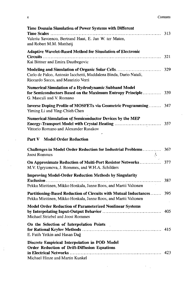|  | Contents |
|--|----------|
|  |          |

| Time Domain Simulation of Power Systems with Different<br>Valeriu Savcenco, Bertrand Haut, E. Jan W. ter Maten,<br>and Robert M.M. Mattheij   |     |
|-----------------------------------------------------------------------------------------------------------------------------------------------|-----|
| <b>Adaptive Wavelet-Based Method for Simulation of Electronic</b><br>Kai Bittner and Emira Dautbegovic                                        | 321 |
| Carlo de Falco, Antonio Iacchetti, Maddalena Binda, Dario Natali,<br>Riccardo Sacco, and Maurizio Verri                                       |     |
| Numerical Simulation of a Hydrodynamic Subband Model<br>for Semiconductors Based on the Maximum Entropy Principle<br>G. Mascali and V. Romano | 339 |
| Inverse Doping Profile of MOSFETs via Geometric Programming<br>Yiming Li and Ying-Chieh Chen                                                  | 347 |
| <b>Numerical Simulation of Semiconductor Devices by the MEP</b><br>Vittorio Romano and Alexander Rusakov                                      | 357 |
| <b>Part V</b> Model Order Reduction                                                                                                           |     |
| <b>Challenges in Model Order Reduction for Industrial Problems</b><br><b>Joost Rommes</b>                                                     | 367 |
| On Approximate Reduction of Multi-Port Resistor Networks<br>M.V. Ugryumova, J. Rommes, and W.H.A. Schilders                                   | 377 |
| <b>Improving Model-Order Reduction Methods by Singularity</b><br>Pekka Miettinen, Mikko Honkala, Janne Roos, and Martti Valtonen              | 387 |
| Partitioning-Based Reduction of Circuits with Mutual Inductances 395<br>Pekka Miettinen, Mikko Honkala, Janne Roos, and Martti Valtonen       |     |
| <b>Model Order Reduction of Parameterized Nonlinear Systems</b><br>Michael Striebel and Joost Rommes                                          | 405 |
| On the Selection of Interpolation Points<br>E. Fatih Yetkin and Hasan Dağ                                                                     | 415 |
| Discrete Empirical Interpolation in POD Model<br><b>Order Reduction of Drift-Diffusion Equations</b><br>Michael Hinze and Martin Kunkel       | 423 |

 $\mathcal{L}^{\text{max}}_{\text{max}}$